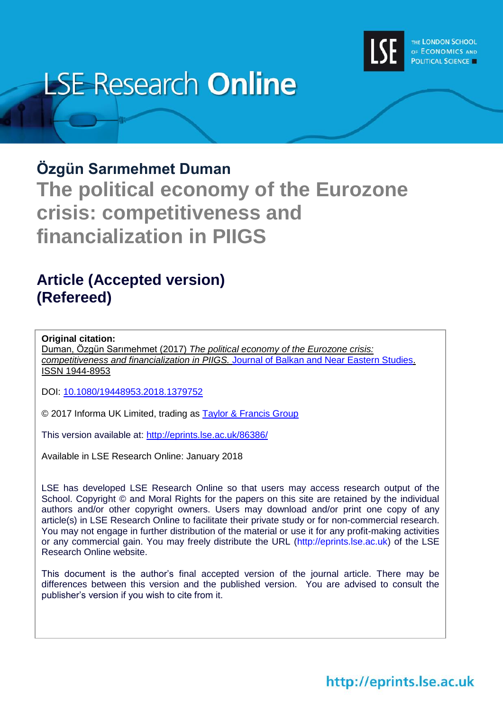

# **LSE Research Online**

## **Özgün Sarımehmet Duman**

**The political economy of the Eurozone crisis: competitiveness and financialization in PIIGS**

# **Article (Accepted version) (Refereed)**

#### **Original citation:**

Duman, Özgün Sarımehmet (2017) *The political economy of the Eurozone crisis: competitiveness and financialization in PIIGS.* [Journal of Balkan and Near Eastern Studies.](http://www.tandfonline.com/toc/cjsb20/current) ISSN 1944-8953

DOI: [10.1080/19448953.2018.1379752](http://doi.org/10.1080/19448953.2018.1379752)

© 2017 Informa UK Limited, trading as [Taylor & Francis Group](http://taylorandfrancis.com/)

This version available at:<http://eprints.lse.ac.uk/86386/>

Available in LSE Research Online: January 2018

LSE has developed LSE Research Online so that users may access research output of the School. Copyright © and Moral Rights for the papers on this site are retained by the individual authors and/or other copyright owners. Users may download and/or print one copy of any article(s) in LSE Research Online to facilitate their private study or for non-commercial research. You may not engage in further distribution of the material or use it for any profit-making activities or any commercial gain. You may freely distribute the URL (http://eprints.lse.ac.uk) of the LSE Research Online website.

This document is the author's final accepted version of the journal article. There may be differences between this version and the published version. You are advised to consult the publisher's version if you wish to cite from it.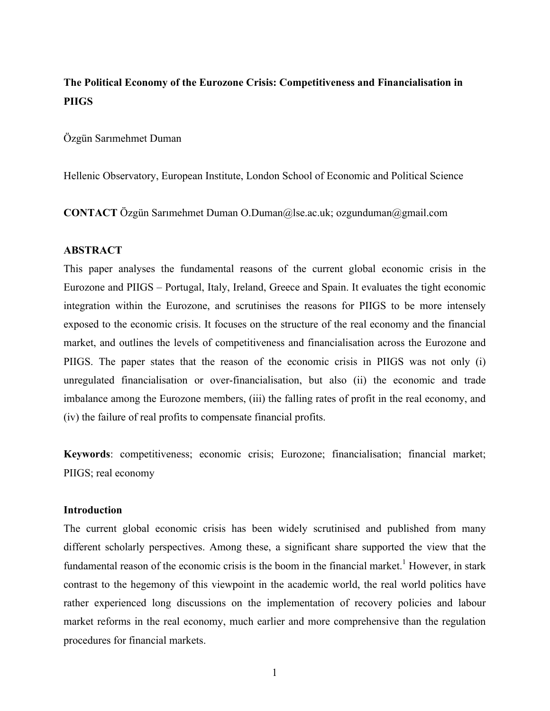## **The Political Economy of the Eurozone Crisis: Competitiveness and Financialisation in PIIGS**

Özgün Sarımehmet Duman

Hellenic Observatory, European Institute, London School of Economic and Political Science

**CONTACT** Özgün Sarımehmet Duman O.Duman@lse.ac.uk; ozgunduman@gmail.com

#### **ABSTRACT**

This paper analyses the fundamental reasons of the current global economic crisis in the Eurozone and PIIGS – Portugal, Italy, Ireland, Greece and Spain. It evaluates the tight economic integration within the Eurozone, and scrutinises the reasons for PIIGS to be more intensely exposed to the economic crisis. It focuses on the structure of the real economy and the financial market, and outlines the levels of competitiveness and financialisation across the Eurozone and PIIGS. The paper states that the reason of the economic crisis in PIIGS was not only (i) unregulated financialisation or over-financialisation, but also (ii) the economic and trade imbalance among the Eurozone members, (iii) the falling rates of profit in the real economy, and (iv) the failure of real profits to compensate financial profits.

**Keywords**: competitiveness; economic crisis; Eurozone; financialisation; financial market; PIIGS; real economy

#### **Introduction**

The current global economic crisis has been widely scrutinised and published from many different scholarly perspectives. Among these, a significant share supported the view that the fundamental reason of the economic crisis is the boom in the financial market.<sup>1</sup> However, in stark contrast to the hegemony of this viewpoint in the academic world, the real world politics have rather experienced long discussions on the implementation of recovery policies and labour market reforms in the real economy, much earlier and more comprehensive than the regulation procedures for financial markets.

1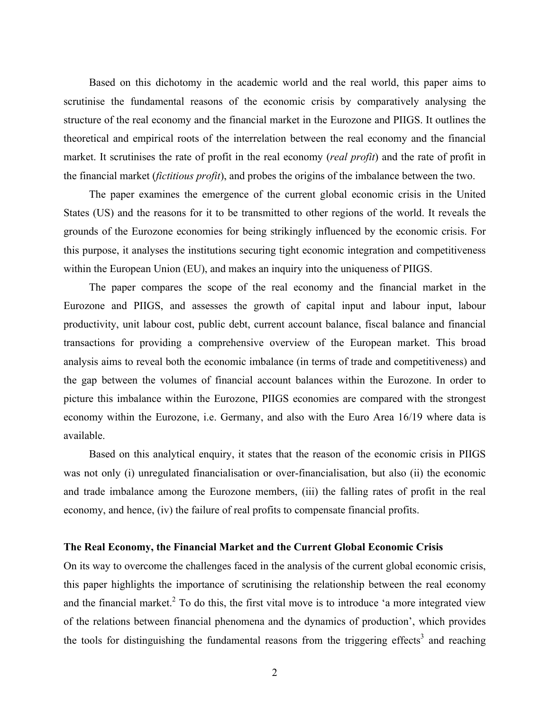Based on this dichotomy in the academic world and the real world, this paper aims to scrutinise the fundamental reasons of the economic crisis by comparatively analysing the structure of the real economy and the financial market in the Eurozone and PIIGS. It outlines the theoretical and empirical roots of the interrelation between the real economy and the financial market. It scrutinises the rate of profit in the real economy (*real profit*) and the rate of profit in the financial market (*fictitious profit*), and probes the origins of the imbalance between the two.

The paper examines the emergence of the current global economic crisis in the United States (US) and the reasons for it to be transmitted to other regions of the world. It reveals the grounds of the Eurozone economies for being strikingly influenced by the economic crisis. For this purpose, it analyses the institutions securing tight economic integration and competitiveness within the European Union (EU), and makes an inquiry into the uniqueness of PIIGS.

The paper compares the scope of the real economy and the financial market in the Eurozone and PIIGS, and assesses the growth of capital input and labour input, labour productivity, unit labour cost, public debt, current account balance, fiscal balance and financial transactions for providing a comprehensive overview of the European market. This broad analysis aims to reveal both the economic imbalance (in terms of trade and competitiveness) and the gap between the volumes of financial account balances within the Eurozone. In order to picture this imbalance within the Eurozone, PIIGS economies are compared with the strongest economy within the Eurozone, i.e. Germany, and also with the Euro Area 16/19 where data is available.

Based on this analytical enquiry, it states that the reason of the economic crisis in PIIGS was not only (i) unregulated financialisation or over-financialisation, but also (ii) the economic and trade imbalance among the Eurozone members, (iii) the falling rates of profit in the real economy, and hence, (iv) the failure of real profits to compensate financial profits.

#### **The Real Economy, the Financial Market and the Current Global Economic Crisis**

On its way to overcome the challenges faced in the analysis of the current global economic crisis, this paper highlights the importance of scrutinising the relationship between the real economy and the financial market.<sup>2</sup> To do this, the first vital move is to introduce 'a more integrated view of the relations between financial phenomena and the dynamics of production', which provides the tools for distinguishing the fundamental reasons from the triggering effects<sup>3</sup> and reaching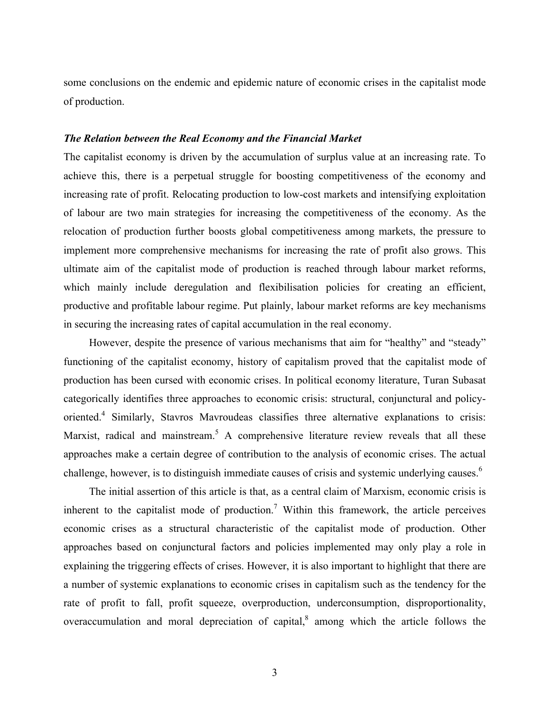some conclusions on the endemic and epidemic nature of economic crises in the capitalist mode of production.

#### *The Relation between the Real Economy and the Financial Market*

The capitalist economy is driven by the accumulation of surplus value at an increasing rate. To achieve this, there is a perpetual struggle for boosting competitiveness of the economy and increasing rate of profit. Relocating production to low-cost markets and intensifying exploitation of labour are two main strategies for increasing the competitiveness of the economy. As the relocation of production further boosts global competitiveness among markets, the pressure to implement more comprehensive mechanisms for increasing the rate of profit also grows. This ultimate aim of the capitalist mode of production is reached through labour market reforms, which mainly include deregulation and flexibilisation policies for creating an efficient, productive and profitable labour regime. Put plainly, labour market reforms are key mechanisms in securing the increasing rates of capital accumulation in the real economy.

However, despite the presence of various mechanisms that aim for "healthy" and "steady" functioning of the capitalist economy, history of capitalism proved that the capitalist mode of production has been cursed with economic crises. In political economy literature, Turan Subasat categorically identifies three approaches to economic crisis: structural, conjunctural and policyoriented.<sup>4</sup> Similarly, Stavros Mavroudeas classifies three alternative explanations to crisis: Marxist, radical and mainstream.<sup>5</sup> A comprehensive literature review reveals that all these approaches make a certain degree of contribution to the analysis of economic crises. The actual challenge, however, is to distinguish immediate causes of crisis and systemic underlying causes.<sup>6</sup>

The initial assertion of this article is that, as a central claim of Marxism, economic crisis is inherent to the capitalist mode of production.<sup>7</sup> Within this framework, the article perceives economic crises as a structural characteristic of the capitalist mode of production. Other approaches based on conjunctural factors and policies implemented may only play a role in explaining the triggering effects of crises. However, it is also important to highlight that there are a number of systemic explanations to economic crises in capitalism such as the tendency for the rate of profit to fall, profit squeeze, overproduction, underconsumption, disproportionality, overaccumulation and moral depreciation of capital, $\delta$  among which the article follows the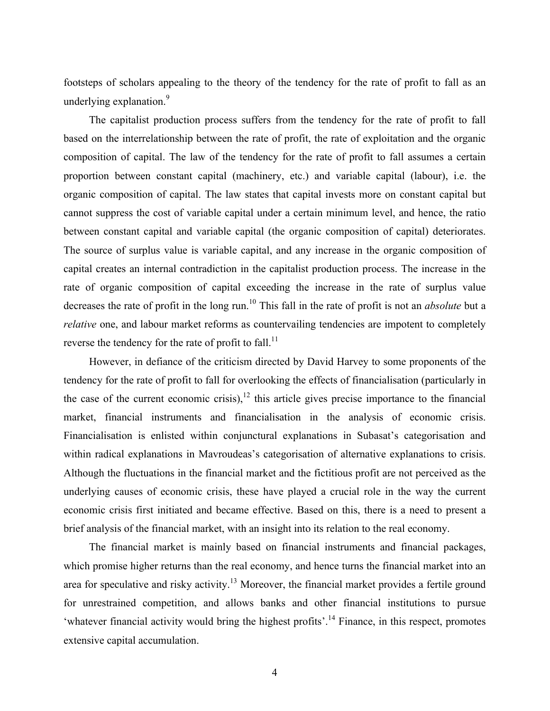footsteps of scholars appealing to the theory of the tendency for the rate of profit to fall as an underlying explanation.<sup>9</sup>

The capitalist production process suffers from the tendency for the rate of profit to fall based on the interrelationship between the rate of profit, the rate of exploitation and the organic composition of capital. The law of the tendency for the rate of profit to fall assumes a certain proportion between constant capital (machinery, etc.) and variable capital (labour), i.e. the organic composition of capital. The law states that capital invests more on constant capital but cannot suppress the cost of variable capital under a certain minimum level, and hence, the ratio between constant capital and variable capital (the organic composition of capital) deteriorates. The source of surplus value is variable capital, and any increase in the organic composition of capital creates an internal contradiction in the capitalist production process. The increase in the rate of organic composition of capital exceeding the increase in the rate of surplus value decreases the rate of profit in the long run.10 This fall in the rate of profit is not an *absolute* but a *relative* one, and labour market reforms as countervailing tendencies are impotent to completely reverse the tendency for the rate of profit to fall.<sup>11</sup>

However, in defiance of the criticism directed by David Harvey to some proponents of the tendency for the rate of profit to fall for overlooking the effects of financialisation (particularly in the case of the current economic crisis), $^{12}$  this article gives precise importance to the financial market, financial instruments and financialisation in the analysis of economic crisis. Financialisation is enlisted within conjunctural explanations in Subasat's categorisation and within radical explanations in Mavroudeas's categorisation of alternative explanations to crisis. Although the fluctuations in the financial market and the fictitious profit are not perceived as the underlying causes of economic crisis, these have played a crucial role in the way the current economic crisis first initiated and became effective. Based on this, there is a need to present a brief analysis of the financial market, with an insight into its relation to the real economy.

The financial market is mainly based on financial instruments and financial packages, which promise higher returns than the real economy, and hence turns the financial market into an area for speculative and risky activity.<sup>13</sup> Moreover, the financial market provides a fertile ground for unrestrained competition, and allows banks and other financial institutions to pursue 'whatever financial activity would bring the highest profits'.<sup>14</sup> Finance, in this respect, promotes extensive capital accumulation.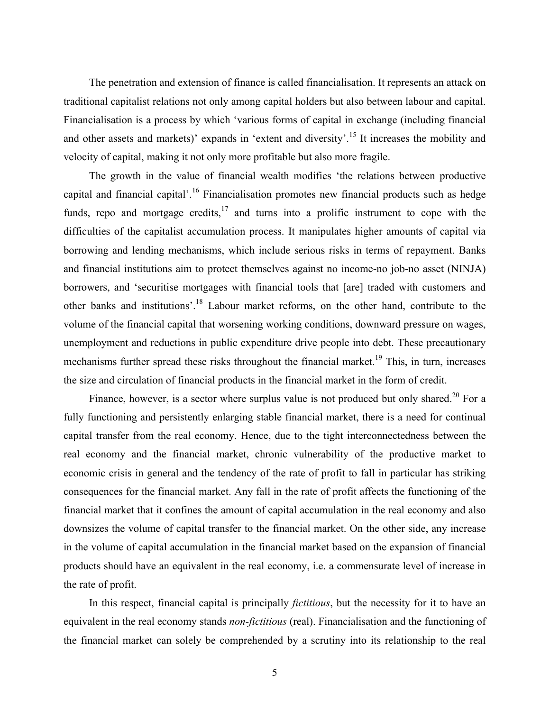The penetration and extension of finance is called financialisation. It represents an attack on traditional capitalist relations not only among capital holders but also between labour and capital. Financialisation is a process by which 'various forms of capital in exchange (including financial and other assets and markets)' expands in 'extent and diversity'.<sup>15</sup> It increases the mobility and velocity of capital, making it not only more profitable but also more fragile.

The growth in the value of financial wealth modifies 'the relations between productive capital and financial capital'.<sup>16</sup> Financialisation promotes new financial products such as hedge funds, repo and mortgage credits,  $17$  and turns into a prolific instrument to cope with the difficulties of the capitalist accumulation process. It manipulates higher amounts of capital via borrowing and lending mechanisms, which include serious risks in terms of repayment. Banks and financial institutions aim to protect themselves against no income-no job-no asset (NINJA) borrowers, and 'securitise mortgages with financial tools that [are] traded with customers and other banks and institutions'.18 Labour market reforms, on the other hand, contribute to the volume of the financial capital that worsening working conditions, downward pressure on wages, unemployment and reductions in public expenditure drive people into debt. These precautionary mechanisms further spread these risks throughout the financial market.<sup>19</sup> This, in turn, increases the size and circulation of financial products in the financial market in the form of credit.

Finance, however, is a sector where surplus value is not produced but only shared.<sup>20</sup> For a fully functioning and persistently enlarging stable financial market, there is a need for continual capital transfer from the real economy. Hence, due to the tight interconnectedness between the real economy and the financial market, chronic vulnerability of the productive market to economic crisis in general and the tendency of the rate of profit to fall in particular has striking consequences for the financial market. Any fall in the rate of profit affects the functioning of the financial market that it confines the amount of capital accumulation in the real economy and also downsizes the volume of capital transfer to the financial market. On the other side, any increase in the volume of capital accumulation in the financial market based on the expansion of financial products should have an equivalent in the real economy, i.e. a commensurate level of increase in the rate of profit.

In this respect, financial capital is principally *fictitious*, but the necessity for it to have an equivalent in the real economy stands *non-fictitious* (real). Financialisation and the functioning of the financial market can solely be comprehended by a scrutiny into its relationship to the real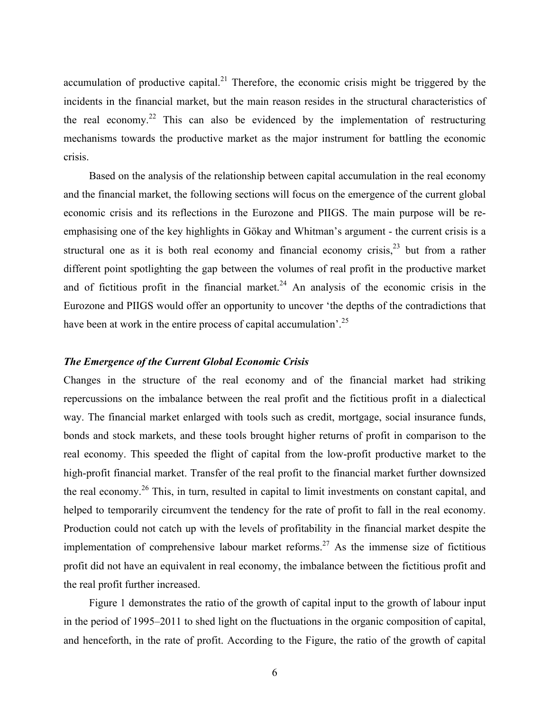accumulation of productive capital.<sup>21</sup> Therefore, the economic crisis might be triggered by the incidents in the financial market, but the main reason resides in the structural characteristics of the real economy.<sup>22</sup> This can also be evidenced by the implementation of restructuring mechanisms towards the productive market as the major instrument for battling the economic crisis.

Based on the analysis of the relationship between capital accumulation in the real economy and the financial market, the following sections will focus on the emergence of the current global economic crisis and its reflections in the Eurozone and PIIGS. The main purpose will be reemphasising one of the key highlights in Gökay and Whitman's argument - the current crisis is a structural one as it is both real economy and financial economy crisis,  $2^3$  but from a rather different point spotlighting the gap between the volumes of real profit in the productive market and of fictitious profit in the financial market.<sup>24</sup> An analysis of the economic crisis in the Eurozone and PIIGS would offer an opportunity to uncover 'the depths of the contradictions that have been at work in the entire process of capital accumulation'.<sup>25</sup>

#### *The Emergence of the Current Global Economic Crisis*

Changes in the structure of the real economy and of the financial market had striking repercussions on the imbalance between the real profit and the fictitious profit in a dialectical way. The financial market enlarged with tools such as credit, mortgage, social insurance funds, bonds and stock markets, and these tools brought higher returns of profit in comparison to the real economy. This speeded the flight of capital from the low-profit productive market to the high-profit financial market. Transfer of the real profit to the financial market further downsized the real economy.<sup>26</sup> This, in turn, resulted in capital to limit investments on constant capital, and helped to temporarily circumvent the tendency for the rate of profit to fall in the real economy. Production could not catch up with the levels of profitability in the financial market despite the implementation of comprehensive labour market reforms.<sup>27</sup> As the immense size of fictitious profit did not have an equivalent in real economy, the imbalance between the fictitious profit and the real profit further increased.

Figure 1 demonstrates the ratio of the growth of capital input to the growth of labour input in the period of 1995–2011 to shed light on the fluctuations in the organic composition of capital, and henceforth, in the rate of profit. According to the Figure, the ratio of the growth of capital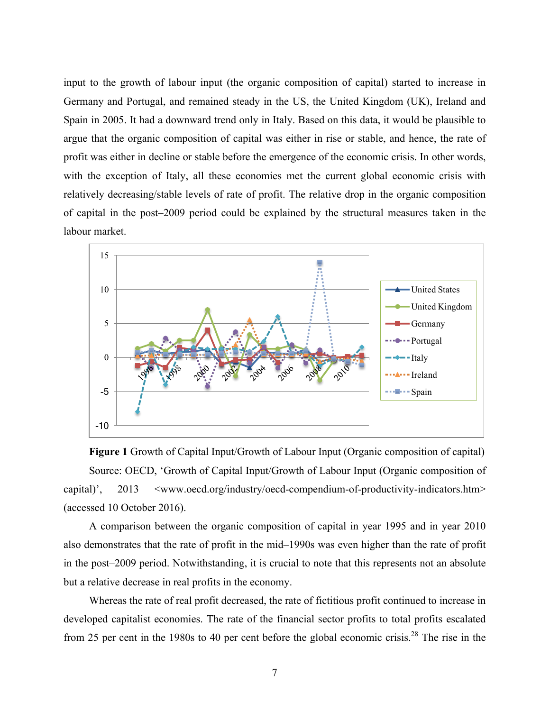input to the growth of labour input (the organic composition of capital) started to increase in Germany and Portugal, and remained steady in the US, the United Kingdom (UK), Ireland and Spain in 2005. It had a downward trend only in Italy. Based on this data, it would be plausible to argue that the organic composition of capital was either in rise or stable, and hence, the rate of profit was either in decline or stable before the emergence of the economic crisis. In other words, with the exception of Italy, all these economies met the current global economic crisis with relatively decreasing/stable levels of rate of profit. The relative drop in the organic composition of capital in the post–2009 period could be explained by the structural measures taken in the labour market.



**Figure 1** Growth of Capital Input/Growth of Labour Input (Organic composition of capital) Source: OECD, 'Growth of Capital Input/Growth of Labour Input (Organic composition of capital)', 2013 <www.oecd.org/industry/oecd-compendium-of-productivity-indicators.htm> (accessed 10 October 2016).

A comparison between the organic composition of capital in year 1995 and in year 2010 also demonstrates that the rate of profit in the mid–1990s was even higher than the rate of profit in the post–2009 period. Notwithstanding, it is crucial to note that this represents not an absolute but a relative decrease in real profits in the economy.

Whereas the rate of real profit decreased, the rate of fictitious profit continued to increase in developed capitalist economies. The rate of the financial sector profits to total profits escalated from 25 per cent in the 1980s to 40 per cent before the global economic crisis.<sup>28</sup> The rise in the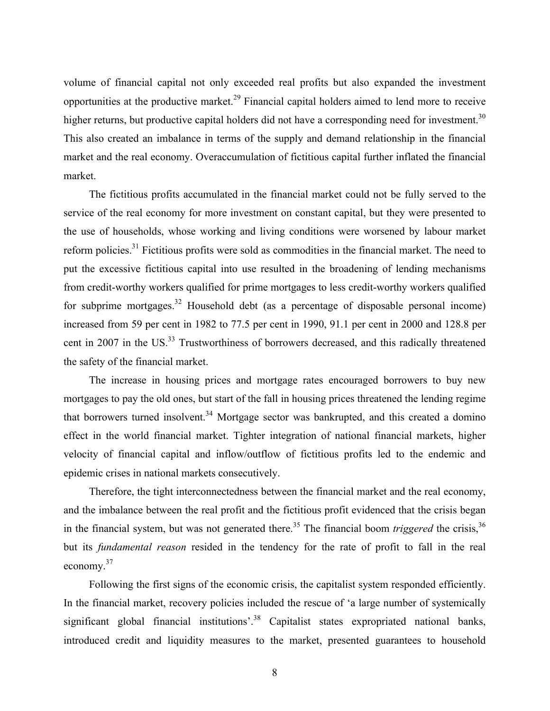volume of financial capital not only exceeded real profits but also expanded the investment opportunities at the productive market.<sup>29</sup> Financial capital holders aimed to lend more to receive higher returns, but productive capital holders did not have a corresponding need for investment.<sup>30</sup> This also created an imbalance in terms of the supply and demand relationship in the financial market and the real economy. Overaccumulation of fictitious capital further inflated the financial market.

The fictitious profits accumulated in the financial market could not be fully served to the service of the real economy for more investment on constant capital, but they were presented to the use of households, whose working and living conditions were worsened by labour market reform policies.<sup>31</sup> Fictitious profits were sold as commodities in the financial market. The need to put the excessive fictitious capital into use resulted in the broadening of lending mechanisms from credit-worthy workers qualified for prime mortgages to less credit-worthy workers qualified for subprime mortgages.<sup>32</sup> Household debt (as a percentage of disposable personal income) increased from 59 per cent in 1982 to 77.5 per cent in 1990, 91.1 per cent in 2000 and 128.8 per cent in 2007 in the US.<sup>33</sup> Trustworthiness of borrowers decreased, and this radically threatened the safety of the financial market.

The increase in housing prices and mortgage rates encouraged borrowers to buy new mortgages to pay the old ones, but start of the fall in housing prices threatened the lending regime that borrowers turned insolvent.<sup>34</sup> Mortgage sector was bankrupted, and this created a domino effect in the world financial market. Tighter integration of national financial markets, higher velocity of financial capital and inflow/outflow of fictitious profits led to the endemic and epidemic crises in national markets consecutively.

Therefore, the tight interconnectedness between the financial market and the real economy, and the imbalance between the real profit and the fictitious profit evidenced that the crisis began in the financial system, but was not generated there.<sup>35</sup> The financial boom *triggered* the crisis,<sup>36</sup> but its *fundamental reason* resided in the tendency for the rate of profit to fall in the real economy.<sup>37</sup>

Following the first signs of the economic crisis, the capitalist system responded efficiently. In the financial market, recovery policies included the rescue of 'a large number of systemically significant global financial institutions<sup>'38</sup> Capitalist states expropriated national banks, introduced credit and liquidity measures to the market, presented guarantees to household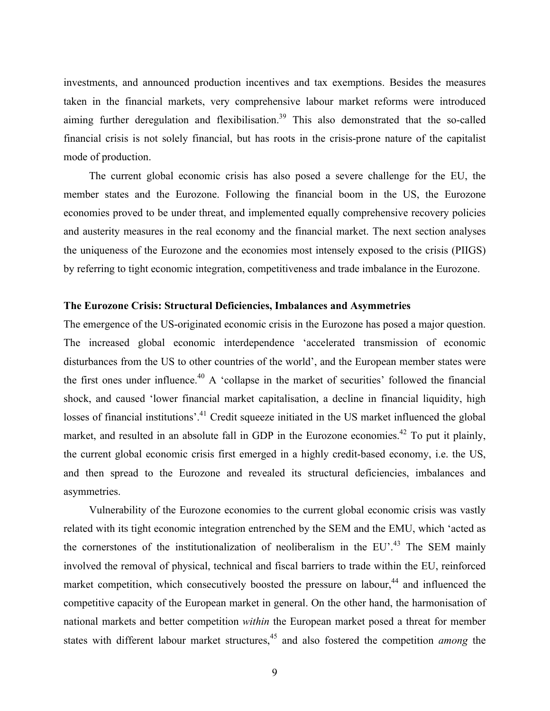investments, and announced production incentives and tax exemptions. Besides the measures taken in the financial markets, very comprehensive labour market reforms were introduced aiming further deregulation and flexibilisation.<sup>39</sup> This also demonstrated that the so-called financial crisis is not solely financial, but has roots in the crisis-prone nature of the capitalist mode of production.

The current global economic crisis has also posed a severe challenge for the EU, the member states and the Eurozone. Following the financial boom in the US, the Eurozone economies proved to be under threat, and implemented equally comprehensive recovery policies and austerity measures in the real economy and the financial market. The next section analyses the uniqueness of the Eurozone and the economies most intensely exposed to the crisis (PIIGS) by referring to tight economic integration, competitiveness and trade imbalance in the Eurozone.

#### **The Eurozone Crisis: Structural Deficiencies, Imbalances and Asymmetries**

The emergence of the US-originated economic crisis in the Eurozone has posed a major question. The increased global economic interdependence 'accelerated transmission of economic disturbances from the US to other countries of the world', and the European member states were the first ones under influence.<sup>40</sup> A 'collapse in the market of securities' followed the financial shock, and caused 'lower financial market capitalisation, a decline in financial liquidity, high losses of financial institutions'.<sup>41</sup> Credit squeeze initiated in the US market influenced the global market, and resulted in an absolute fall in GDP in the Eurozone economies.<sup>42</sup> To put it plainly, the current global economic crisis first emerged in a highly credit-based economy, i.e. the US, and then spread to the Eurozone and revealed its structural deficiencies, imbalances and asymmetries.

Vulnerability of the Eurozone economies to the current global economic crisis was vastly related with its tight economic integration entrenched by the SEM and the EMU, which 'acted as the cornerstones of the institutionalization of neoliberalism in the  $EU^4$ . The SEM mainly involved the removal of physical, technical and fiscal barriers to trade within the EU, reinforced market competition, which consecutively boosted the pressure on labour,<sup>44</sup> and influenced the competitive capacity of the European market in general. On the other hand, the harmonisation of national markets and better competition *within* the European market posed a threat for member states with different labour market structures, <sup>45</sup> and also fostered the competition *among* the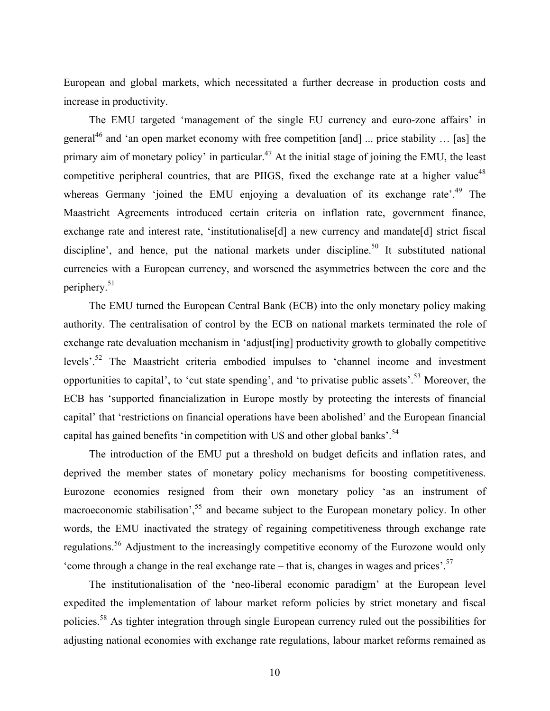European and global markets, which necessitated a further decrease in production costs and increase in productivity.

The EMU targeted 'management of the single EU currency and euro-zone affairs' in general<sup>46</sup> and 'an open market economy with free competition [and] ... price stability ... [as] the primary aim of monetary policy' in particular.<sup>47</sup> At the initial stage of joining the EMU, the least competitive peripheral countries, that are PIIGS, fixed the exchange rate at a higher value<sup>48</sup> whereas Germany 'joined the EMU enjoying a devaluation of its exchange rate'.<sup>49</sup> The Maastricht Agreements introduced certain criteria on inflation rate, government finance, exchange rate and interest rate, 'institutionalise[d] a new currency and mandate[d] strict fiscal discipline', and hence, put the national markets under discipline.<sup>50</sup> It substituted national currencies with a European currency, and worsened the asymmetries between the core and the periphery.51

The EMU turned the European Central Bank (ECB) into the only monetary policy making authority. The centralisation of control by the ECB on national markets terminated the role of exchange rate devaluation mechanism in 'adjust[ing] productivity growth to globally competitive levels'.<sup>52</sup> The Maastricht criteria embodied impulses to 'channel income and investment opportunities to capital', to 'cut state spending', and 'to privatise public assets'.<sup>53</sup> Moreover, the ECB has 'supported financialization in Europe mostly by protecting the interests of financial capital' that 'restrictions on financial operations have been abolished' and the European financial capital has gained benefits 'in competition with US and other global banks'.<sup>54</sup>

The introduction of the EMU put a threshold on budget deficits and inflation rates, and deprived the member states of monetary policy mechanisms for boosting competitiveness. Eurozone economies resigned from their own monetary policy 'as an instrument of macroeconomic stabilisation',<sup>55</sup> and became subject to the European monetary policy. In other words, the EMU inactivated the strategy of regaining competitiveness through exchange rate regulations.<sup>56</sup> Adjustment to the increasingly competitive economy of the Eurozone would only 'come through a change in the real exchange rate – that is, changes in wages and prices'.<sup>57</sup>

The institutionalisation of the 'neo-liberal economic paradigm' at the European level expedited the implementation of labour market reform policies by strict monetary and fiscal policies.58 As tighter integration through single European currency ruled out the possibilities for adjusting national economies with exchange rate regulations, labour market reforms remained as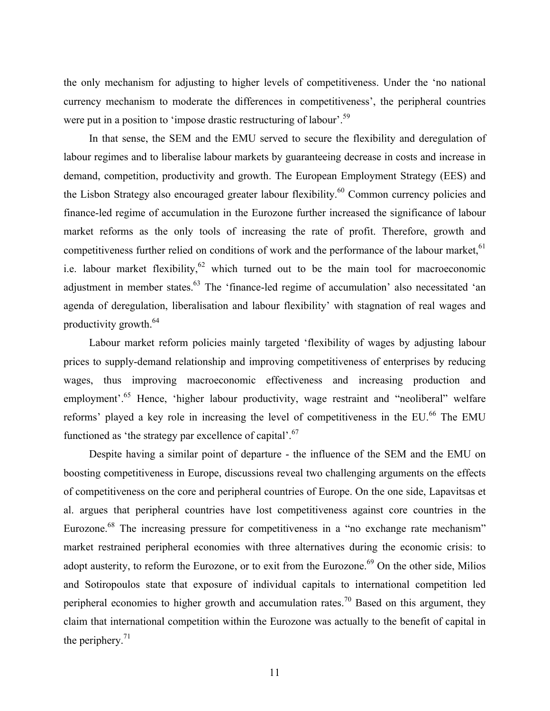the only mechanism for adjusting to higher levels of competitiveness. Under the 'no national currency mechanism to moderate the differences in competitiveness', the peripheral countries were put in a position to 'impose drastic restructuring of labour'.<sup>59</sup>

In that sense, the SEM and the EMU served to secure the flexibility and deregulation of labour regimes and to liberalise labour markets by guaranteeing decrease in costs and increase in demand, competition, productivity and growth. The European Employment Strategy (EES) and the Lisbon Strategy also encouraged greater labour flexibility.<sup>60</sup> Common currency policies and finance-led regime of accumulation in the Eurozone further increased the significance of labour market reforms as the only tools of increasing the rate of profit. Therefore, growth and competitiveness further relied on conditions of work and the performance of the labour market,<sup>61</sup> i.e. labour market flexibility,  $62$  which turned out to be the main tool for macroeconomic adjustment in member states.<sup>63</sup> The 'finance-led regime of accumulation' also necessitated 'an agenda of deregulation, liberalisation and labour flexibility' with stagnation of real wages and productivity growth. $64$ 

Labour market reform policies mainly targeted 'flexibility of wages by adjusting labour prices to supply-demand relationship and improving competitiveness of enterprises by reducing wages, thus improving macroeconomic effectiveness and increasing production and employment'.<sup>65</sup> Hence, 'higher labour productivity, wage restraint and "neoliberal" welfare reforms' played a key role in increasing the level of competitiveness in the EU.<sup>66</sup> The EMU functioned as 'the strategy par excellence of capital'. $67$ 

Despite having a similar point of departure - the influence of the SEM and the EMU on boosting competitiveness in Europe, discussions reveal two challenging arguments on the effects of competitiveness on the core and peripheral countries of Europe. On the one side, Lapavitsas et al. argues that peripheral countries have lost competitiveness against core countries in the Eurozone.<sup>68</sup> The increasing pressure for competitiveness in a "no exchange rate mechanism" market restrained peripheral economies with three alternatives during the economic crisis: to adopt austerity, to reform the Eurozone, or to exit from the Eurozone.<sup>69</sup> On the other side, Milios and Sotiropoulos state that exposure of individual capitals to international competition led peripheral economies to higher growth and accumulation rates.<sup>70</sup> Based on this argument, they claim that international competition within the Eurozone was actually to the benefit of capital in the periphery. $71$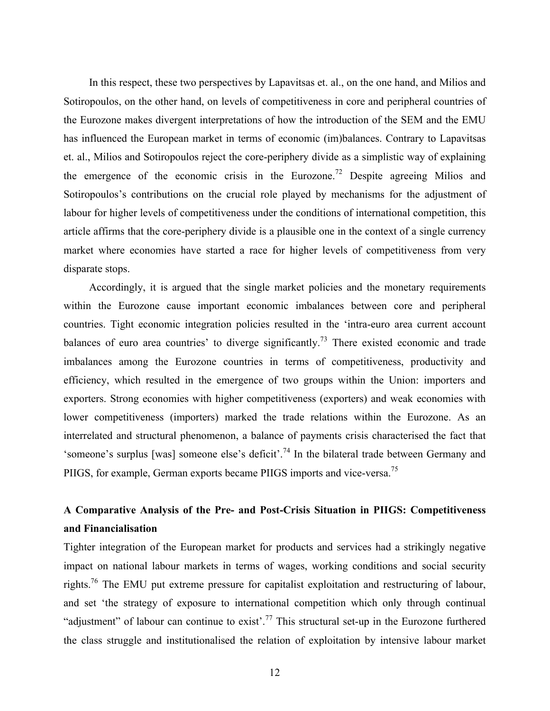In this respect, these two perspectives by Lapavitsas et. al., on the one hand, and Milios and Sotiropoulos, on the other hand, on levels of competitiveness in core and peripheral countries of the Eurozone makes divergent interpretations of how the introduction of the SEM and the EMU has influenced the European market in terms of economic (im)balances. Contrary to Lapavitsas et. al., Milios and Sotiropoulos reject the core-periphery divide as a simplistic way of explaining the emergence of the economic crisis in the Eurozone.<sup>72</sup> Despite agreeing Milios and Sotiropoulos's contributions on the crucial role played by mechanisms for the adjustment of labour for higher levels of competitiveness under the conditions of international competition, this article affirms that the core-periphery divide is a plausible one in the context of a single currency market where economies have started a race for higher levels of competitiveness from very disparate stops.

Accordingly, it is argued that the single market policies and the monetary requirements within the Eurozone cause important economic imbalances between core and peripheral countries. Tight economic integration policies resulted in the 'intra-euro area current account balances of euro area countries' to diverge significantly.<sup>73</sup> There existed economic and trade imbalances among the Eurozone countries in terms of competitiveness, productivity and efficiency, which resulted in the emergence of two groups within the Union: importers and exporters. Strong economies with higher competitiveness (exporters) and weak economies with lower competitiveness (importers) marked the trade relations within the Eurozone. As an interrelated and structural phenomenon, a balance of payments crisis characterised the fact that 'someone's surplus [was] someone else's deficit'.<sup>74</sup> In the bilateral trade between Germany and PIIGS, for example, German exports became PIIGS imports and vice-versa.<sup>75</sup>

### **A Comparative Analysis of the Pre- and Post-Crisis Situation in PIIGS: Competitiveness and Financialisation**

Tighter integration of the European market for products and services had a strikingly negative impact on national labour markets in terms of wages, working conditions and social security rights.<sup>76</sup> The EMU put extreme pressure for capitalist exploitation and restructuring of labour, and set 'the strategy of exposure to international competition which only through continual "adjustment" of labour can continue to exist'.<sup>77</sup> This structural set-up in the Eurozone furthered the class struggle and institutionalised the relation of exploitation by intensive labour market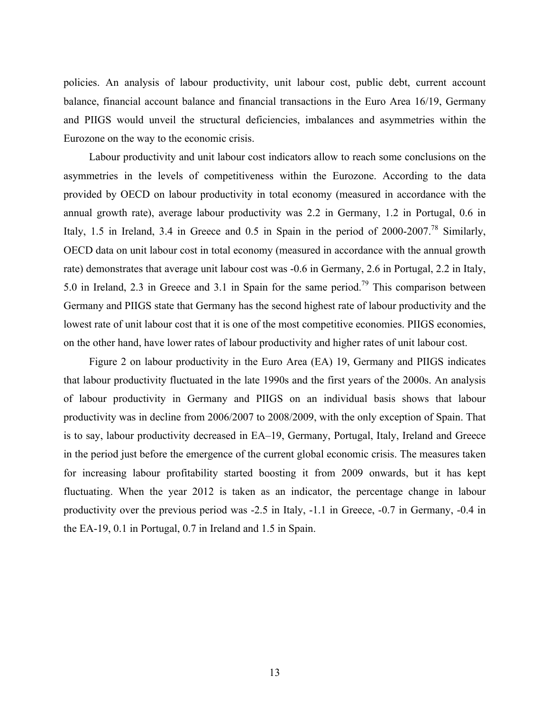policies. An analysis of labour productivity, unit labour cost, public debt, current account balance, financial account balance and financial transactions in the Euro Area 16/19, Germany and PIIGS would unveil the structural deficiencies, imbalances and asymmetries within the Eurozone on the way to the economic crisis.

Labour productivity and unit labour cost indicators allow to reach some conclusions on the asymmetries in the levels of competitiveness within the Eurozone. According to the data provided by OECD on labour productivity in total economy (measured in accordance with the annual growth rate), average labour productivity was 2.2 in Germany, 1.2 in Portugal, 0.6 in Italy, 1.5 in Ireland, 3.4 in Greece and 0.5 in Spain in the period of  $2000-2007$ .<sup>78</sup> Similarly, OECD data on unit labour cost in total economy (measured in accordance with the annual growth rate) demonstrates that average unit labour cost was -0.6 in Germany, 2.6 in Portugal, 2.2 in Italy, 5.0 in Ireland, 2.3 in Greece and 3.1 in Spain for the same period.79 This comparison between Germany and PIIGS state that Germany has the second highest rate of labour productivity and the lowest rate of unit labour cost that it is one of the most competitive economies. PIIGS economies, on the other hand, have lower rates of labour productivity and higher rates of unit labour cost.

Figure 2 on labour productivity in the Euro Area (EA) 19, Germany and PIIGS indicates that labour productivity fluctuated in the late 1990s and the first years of the 2000s. An analysis of labour productivity in Germany and PIIGS on an individual basis shows that labour productivity was in decline from 2006/2007 to 2008/2009, with the only exception of Spain. That is to say, labour productivity decreased in EA–19, Germany, Portugal, Italy, Ireland and Greece in the period just before the emergence of the current global economic crisis. The measures taken for increasing labour profitability started boosting it from 2009 onwards, but it has kept fluctuating. When the year 2012 is taken as an indicator, the percentage change in labour productivity over the previous period was -2.5 in Italy, -1.1 in Greece, -0.7 in Germany, -0.4 in the EA-19, 0.1 in Portugal, 0.7 in Ireland and 1.5 in Spain.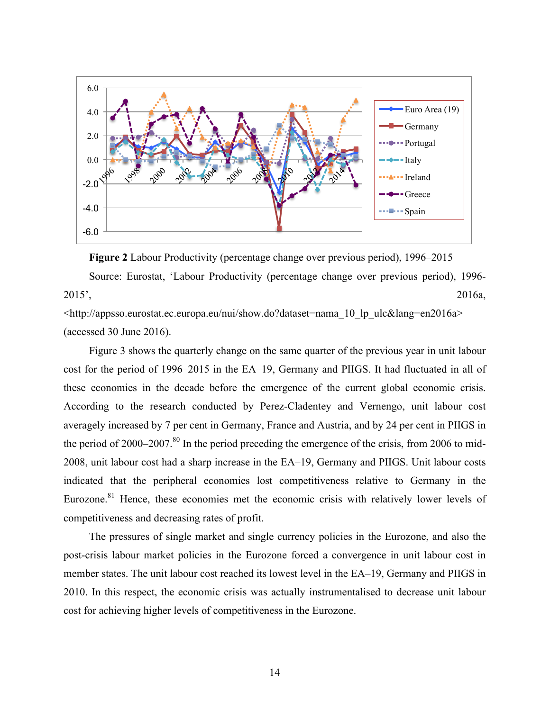

**Figure 2** Labour Productivity (percentage change over previous period), 1996–2015 Source: Eurostat, 'Labour Productivity (percentage change over previous period), 1996- 2015', 2016a,

<http://appsso.eurostat.ec.europa.eu/nui/show.do?dataset=nama\_10\_lp\_ulc&lang=en2016a> (accessed 30 June 2016).

Figure 3 shows the quarterly change on the same quarter of the previous year in unit labour cost for the period of 1996–2015 in the EA–19, Germany and PIIGS. It had fluctuated in all of these economies in the decade before the emergence of the current global economic crisis. According to the research conducted by Perez-Cladentey and Vernengo, unit labour cost averagely increased by 7 per cent in Germany, France and Austria, and by 24 per cent in PIIGS in the period of 2000–2007.<sup>80</sup> In the period preceding the emergence of the crisis, from 2006 to mid-2008, unit labour cost had a sharp increase in the EA–19, Germany and PIIGS. Unit labour costs indicated that the peripheral economies lost competitiveness relative to Germany in the Eurozone. $81$  Hence, these economies met the economic crisis with relatively lower levels of competitiveness and decreasing rates of profit.

The pressures of single market and single currency policies in the Eurozone, and also the post-crisis labour market policies in the Eurozone forced a convergence in unit labour cost in member states. The unit labour cost reached its lowest level in the EA–19, Germany and PIIGS in 2010. In this respect, the economic crisis was actually instrumentalised to decrease unit labour cost for achieving higher levels of competitiveness in the Eurozone.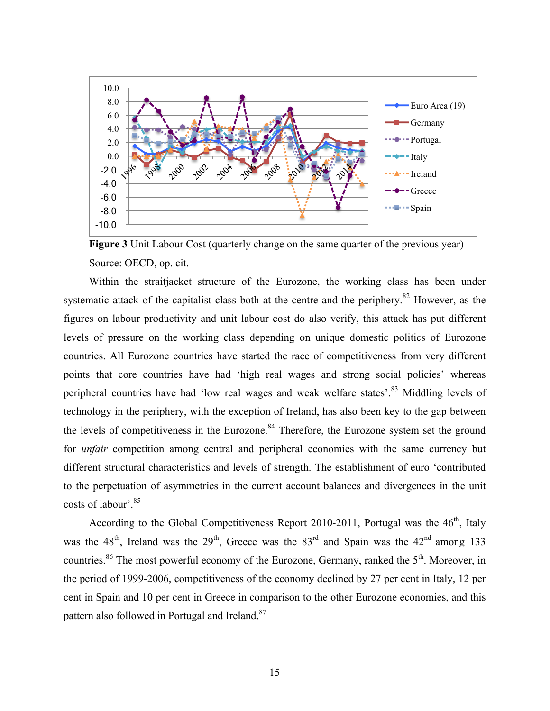

**Figure 3** Unit Labour Cost (quarterly change on the same quarter of the previous year) Source: OECD, op. cit.

Within the straitjacket structure of the Eurozone, the working class has been under systematic attack of the capitalist class both at the centre and the periphery.<sup>82</sup> However, as the figures on labour productivity and unit labour cost do also verify, this attack has put different levels of pressure on the working class depending on unique domestic politics of Eurozone countries. All Eurozone countries have started the race of competitiveness from very different points that core countries have had 'high real wages and strong social policies' whereas peripheral countries have had 'low real wages and weak welfare states'.<sup>83</sup> Middling levels of technology in the periphery, with the exception of Ireland, has also been key to the gap between the levels of competitiveness in the Eurozone.<sup>84</sup> Therefore, the Eurozone system set the ground for *unfair* competition among central and peripheral economies with the same currency but different structural characteristics and levels of strength. The establishment of euro 'contributed to the perpetuation of asymmetries in the current account balances and divergences in the unit costs of labour'.<sup>85</sup>

According to the Global Competitiveness Report 2010-2011, Portugal was the  $46<sup>th</sup>$ , Italy was the  $48<sup>th</sup>$ , Ireland was the  $29<sup>th</sup>$ , Greece was the  $83<sup>rd</sup>$  and Spain was the  $42<sup>nd</sup>$  among 133 countries.<sup>86</sup> The most powerful economy of the Eurozone, Germany, ranked the  $5<sup>th</sup>$ . Moreover, in the period of 1999-2006, competitiveness of the economy declined by 27 per cent in Italy, 12 per cent in Spain and 10 per cent in Greece in comparison to the other Eurozone economies, and this pattern also followed in Portugal and Ireland.<sup>87</sup>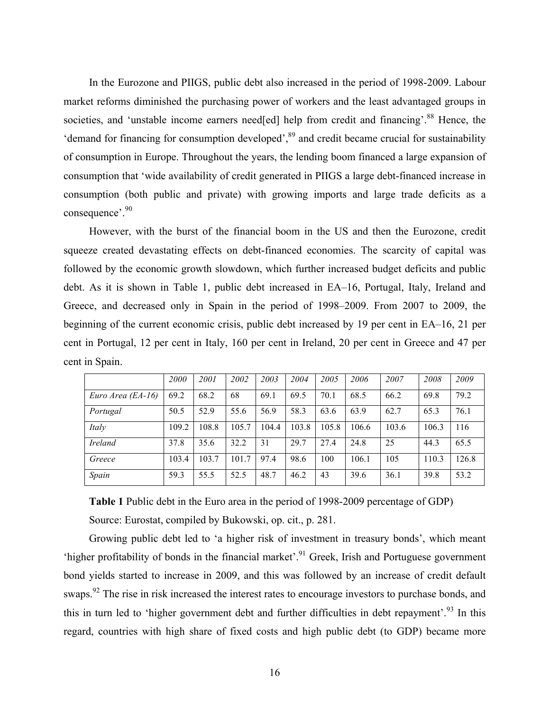In the Eurozone and PIIGS, public debt also increased in the period of 1998-2009. Labour market reforms diminished the purchasing power of workers and the least advantaged groups in societies, and 'unstable income earners need[ed] help from credit and financing'.<sup>88</sup> Hence, the 'demand for financing for consumption developed',<sup>89</sup> and credit became crucial for sustainability of consumption in Europe. Throughout the years, the lending boom financed a large expansion of consumption that 'wide availability of credit generated in PIIGS a large debt-financed increase in consumption (both public and private) with growing imports and large trade deficits as a consequence'.<sup>90</sup>

However, with the burst of the financial boom in the US and then the Eurozone, credit squeeze created devastating effects on debt-financed economies. The scarcity of capital was followed by the economic growth slowdown, which further increased budget deficits and public debt. As it is shown in Table 1, public debt increased in EA–16, Portugal, Italy, Ireland and Greece, and decreased only in Spain in the period of 1998–2009. From 2007 to 2009, the beginning of the current economic crisis, public debt increased by 19 per cent in EA–16, 21 per cent in Portugal, 12 per cent in Italy, 160 per cent in Ireland, 20 per cent in Greece and 47 per cent in Spain.

|                   | <i>2000</i> | 2001  | 2002  | 2003  | 2004  | 2005  | 2006  | 2007  | 2008  | 2009  |
|-------------------|-------------|-------|-------|-------|-------|-------|-------|-------|-------|-------|
| Euro Area (EA-16) | 69.2        | 68.2  | 68    | 69.1  | 69.5  | 70.1  | 68.5  | 66.2  | 69.8  | 79.2  |
| Portugal          | 50.5        | 52.9  | 55.6  | 56.9  | 58.3  | 63.6  | 63.9  | 62.7  | 65.3  | 76.1  |
| Italy             | 109.2       | 108.8 | 105.7 | 104.4 | 103.8 | 105.8 | 106.6 | 103.6 | 106.3 | 116   |
| Ireland           | 37.8        | 35.6  | 32.2  | 31    | 29.7  | 27.4  | 24.8  | 25    | 44.3  | 65.5  |
| Greece            | 103.4       | 103.7 | 101.7 | 97.4  | 98.6  | 100   | 106.1 | 105   | 110.3 | 126.8 |
| Spain             | 59.3        | 55.5  | 52.5  | 48.7  | 46.2  | 43    | 39.6  | 36.1  | 39.8  | 53.2  |

**Table 1** Public debt in the Euro area in the period of 1998-2009 percentage of GDP) Source: Eurostat, compiled by Bukowski, op. cit., p. 281.

Growing public debt led to 'a higher risk of investment in treasury bonds', which meant 'higher profitability of bonds in the financial market'.<sup>91</sup> Greek, Irish and Portuguese government bond yields started to increase in 2009, and this was followed by an increase of credit default swaps.<sup>92</sup> The rise in risk increased the interest rates to encourage investors to purchase bonds, and this in turn led to 'higher government debt and further difficulties in debt repayment'.<sup>93</sup> In this regard, countries with high share of fixed costs and high public debt (to GDP) became more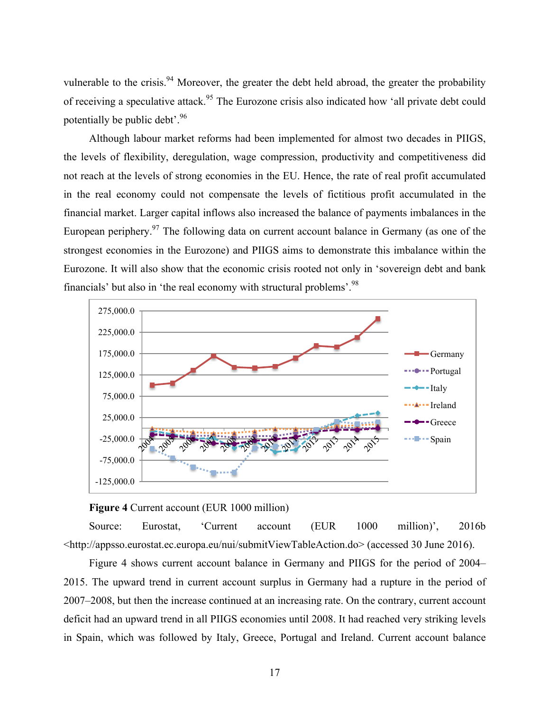vulnerable to the crisis.<sup>94</sup> Moreover, the greater the debt held abroad, the greater the probability of receiving a speculative attack.<sup>95</sup> The Eurozone crisis also indicated how 'all private debt could potentially be public debt'.<sup>96</sup>

Although labour market reforms had been implemented for almost two decades in PIIGS, the levels of flexibility, deregulation, wage compression, productivity and competitiveness did not reach at the levels of strong economies in the EU. Hence, the rate of real profit accumulated in the real economy could not compensate the levels of fictitious profit accumulated in the financial market. Larger capital inflows also increased the balance of payments imbalances in the European periphery.<sup>97</sup> The following data on current account balance in Germany (as one of the strongest economies in the Eurozone) and PIIGS aims to demonstrate this imbalance within the Eurozone. It will also show that the economic crisis rooted not only in 'sovereign debt and bank financials' but also in 'the real economy with structural problems'.<sup>98</sup>



#### **Figure 4** Current account (EUR 1000 million)

Source: Eurostat, 'Current account (EUR 1000 million)', 2016b <http://appsso.eurostat.ec.europa.eu/nui/submitViewTableAction.do> (accessed 30 June 2016).

Figure 4 shows current account balance in Germany and PIIGS for the period of 2004– 2015. The upward trend in current account surplus in Germany had a rupture in the period of 2007–2008, but then the increase continued at an increasing rate. On the contrary, current account deficit had an upward trend in all PIIGS economies until 2008. It had reached very striking levels in Spain, which was followed by Italy, Greece, Portugal and Ireland. Current account balance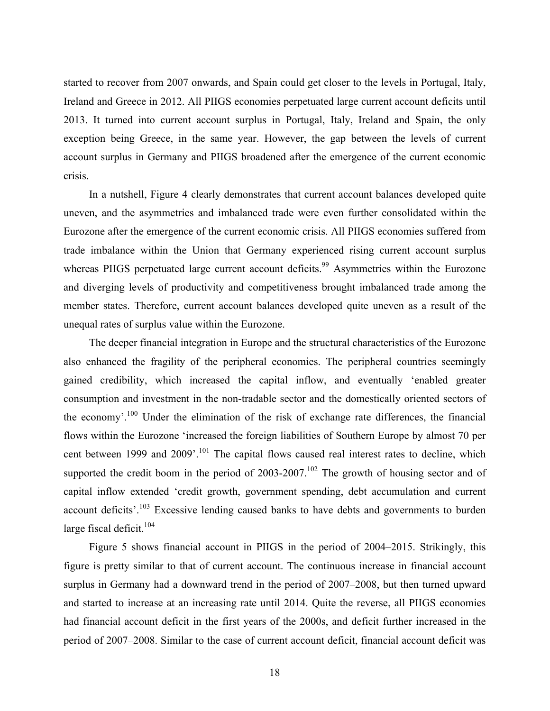started to recover from 2007 onwards, and Spain could get closer to the levels in Portugal, Italy, Ireland and Greece in 2012. All PIIGS economies perpetuated large current account deficits until 2013. It turned into current account surplus in Portugal, Italy, Ireland and Spain, the only exception being Greece, in the same year. However, the gap between the levels of current account surplus in Germany and PIIGS broadened after the emergence of the current economic crisis.

In a nutshell, Figure 4 clearly demonstrates that current account balances developed quite uneven, and the asymmetries and imbalanced trade were even further consolidated within the Eurozone after the emergence of the current economic crisis. All PIIGS economies suffered from trade imbalance within the Union that Germany experienced rising current account surplus whereas PIIGS perpetuated large current account deficits.<sup>99</sup> Asymmetries within the Eurozone and diverging levels of productivity and competitiveness brought imbalanced trade among the member states. Therefore, current account balances developed quite uneven as a result of the unequal rates of surplus value within the Eurozone.

The deeper financial integration in Europe and the structural characteristics of the Eurozone also enhanced the fragility of the peripheral economies. The peripheral countries seemingly gained credibility, which increased the capital inflow, and eventually 'enabled greater consumption and investment in the non-tradable sector and the domestically oriented sectors of the economy'.<sup>100</sup> Under the elimination of the risk of exchange rate differences, the financial flows within the Eurozone 'increased the foreign liabilities of Southern Europe by almost 70 per cent between 1999 and 2009'.<sup>101</sup> The capital flows caused real interest rates to decline, which supported the credit boom in the period of  $2003-2007$ .<sup>102</sup> The growth of housing sector and of capital inflow extended 'credit growth, government spending, debt accumulation and current account deficits'.<sup>103</sup> Excessive lending caused banks to have debts and governments to burden large fiscal deficit. $104$ 

Figure 5 shows financial account in PIIGS in the period of 2004–2015. Strikingly, this figure is pretty similar to that of current account. The continuous increase in financial account surplus in Germany had a downward trend in the period of 2007–2008, but then turned upward and started to increase at an increasing rate until 2014. Quite the reverse, all PIIGS economies had financial account deficit in the first years of the 2000s, and deficit further increased in the period of 2007–2008. Similar to the case of current account deficit, financial account deficit was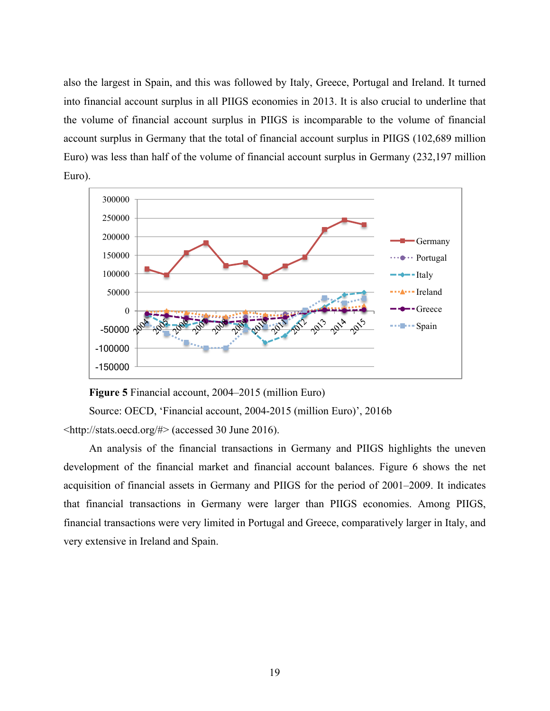also the largest in Spain, and this was followed by Italy, Greece, Portugal and Ireland. It turned into financial account surplus in all PIIGS economies in 2013. It is also crucial to underline that the volume of financial account surplus in PIIGS is incomparable to the volume of financial account surplus in Germany that the total of financial account surplus in PIIGS (102,689 million Euro) was less than half of the volume of financial account surplus in Germany (232,197 million Euro).



**Figure 5** Financial account, 2004–2015 (million Euro)

Source: OECD, 'Financial account, 2004-2015 (million Euro)', 2016b

<http://stats.oecd.org/#> (accessed 30 June 2016).

An analysis of the financial transactions in Germany and PIIGS highlights the uneven development of the financial market and financial account balances. Figure 6 shows the net acquisition of financial assets in Germany and PIIGS for the period of 2001–2009. It indicates that financial transactions in Germany were larger than PIIGS economies. Among PIIGS, financial transactions were very limited in Portugal and Greece, comparatively larger in Italy, and very extensive in Ireland and Spain.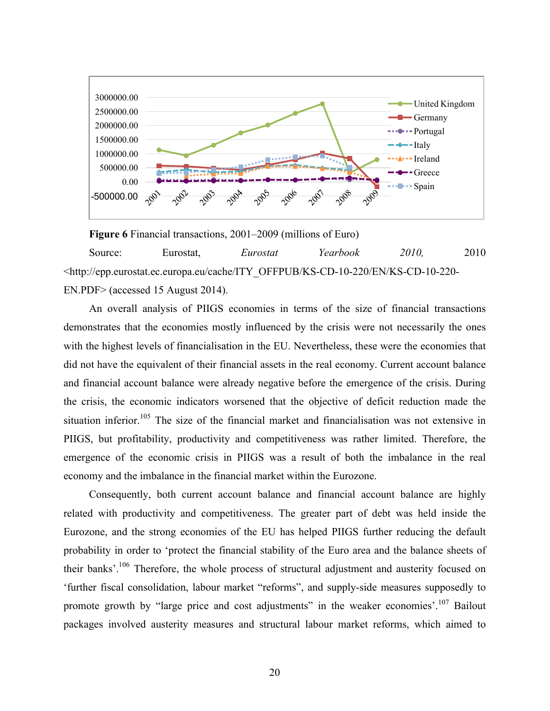

**Figure 6** Financial transactions, 2001–2009 (millions of Euro) Source: Eurostat, *Eurostat Yearbook 2010,* 2010 <http://epp.eurostat.ec.europa.eu/cache/ITY\_OFFPUB/KS-CD-10-220/EN/KS-CD-10-220- EN.PDF> (accessed 15 August 2014).

An overall analysis of PIIGS economies in terms of the size of financial transactions demonstrates that the economies mostly influenced by the crisis were not necessarily the ones with the highest levels of financialisation in the EU. Nevertheless, these were the economies that did not have the equivalent of their financial assets in the real economy. Current account balance and financial account balance were already negative before the emergence of the crisis. During the crisis, the economic indicators worsened that the objective of deficit reduction made the situation inferior.<sup>105</sup> The size of the financial market and financialisation was not extensive in PIIGS, but profitability, productivity and competitiveness was rather limited. Therefore, the emergence of the economic crisis in PIIGS was a result of both the imbalance in the real economy and the imbalance in the financial market within the Eurozone.

Consequently, both current account balance and financial account balance are highly related with productivity and competitiveness. The greater part of debt was held inside the Eurozone, and the strong economies of the EU has helped PIIGS further reducing the default probability in order to 'protect the financial stability of the Euro area and the balance sheets of their banks'.<sup>106</sup> Therefore, the whole process of structural adjustment and austerity focused on 'further fiscal consolidation, labour market "reforms", and supply-side measures supposedly to promote growth by "large price and cost adjustments" in the weaker economies'.<sup>107</sup> Bailout packages involved austerity measures and structural labour market reforms, which aimed to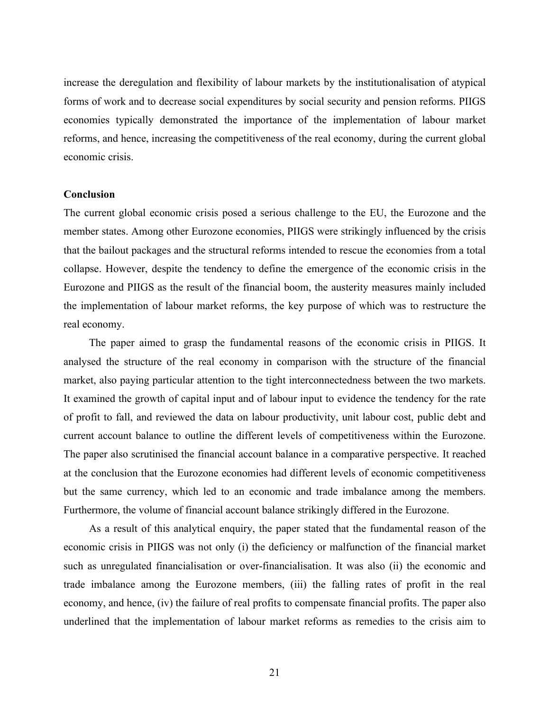increase the deregulation and flexibility of labour markets by the institutionalisation of atypical forms of work and to decrease social expenditures by social security and pension reforms. PIIGS economies typically demonstrated the importance of the implementation of labour market reforms, and hence, increasing the competitiveness of the real economy, during the current global economic crisis.

#### **Conclusion**

The current global economic crisis posed a serious challenge to the EU, the Eurozone and the member states. Among other Eurozone economies, PIIGS were strikingly influenced by the crisis that the bailout packages and the structural reforms intended to rescue the economies from a total collapse. However, despite the tendency to define the emergence of the economic crisis in the Eurozone and PIIGS as the result of the financial boom, the austerity measures mainly included the implementation of labour market reforms, the key purpose of which was to restructure the real economy.

The paper aimed to grasp the fundamental reasons of the economic crisis in PIIGS. It analysed the structure of the real economy in comparison with the structure of the financial market, also paying particular attention to the tight interconnectedness between the two markets. It examined the growth of capital input and of labour input to evidence the tendency for the rate of profit to fall, and reviewed the data on labour productivity, unit labour cost, public debt and current account balance to outline the different levels of competitiveness within the Eurozone. The paper also scrutinised the financial account balance in a comparative perspective. It reached at the conclusion that the Eurozone economies had different levels of economic competitiveness but the same currency, which led to an economic and trade imbalance among the members. Furthermore, the volume of financial account balance strikingly differed in the Eurozone.

As a result of this analytical enquiry, the paper stated that the fundamental reason of the economic crisis in PIIGS was not only (i) the deficiency or malfunction of the financial market such as unregulated financialisation or over-financialisation. It was also (ii) the economic and trade imbalance among the Eurozone members, (iii) the falling rates of profit in the real economy, and hence, (iv) the failure of real profits to compensate financial profits. The paper also underlined that the implementation of labour market reforms as remedies to the crisis aim to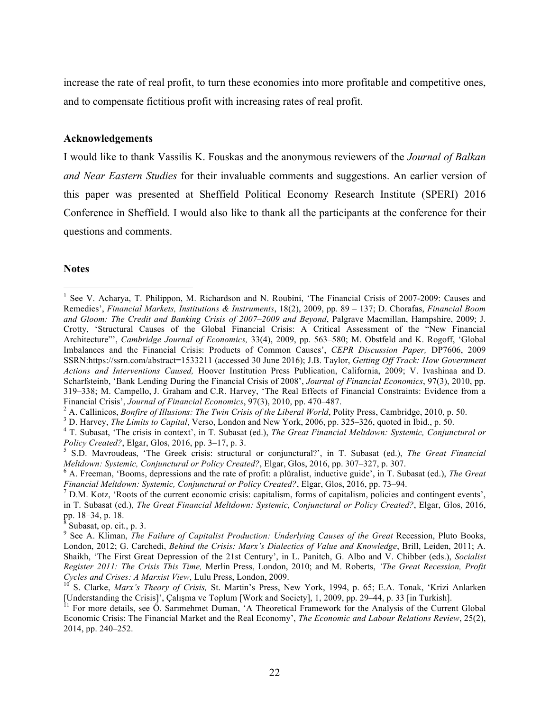increase the rate of real profit, to turn these economies into more profitable and competitive ones, and to compensate fictitious profit with increasing rates of real profit.

#### **Acknowledgements**

I would like to thank Vassilis K. Fouskas and the anonymous reviewers of the *Journal of Balkan and Near Eastern Studies* for their invaluable comments and suggestions. An earlier version of this paper was presented at Sheffield Political Economy Research Institute (SPERI) 2016 Conference in Sheffield. I would also like to thank all the participants at the conference for their questions and comments.

#### **Notes**

<sup>&</sup>lt;sup>1</sup> See V. Acharya, T. Philippon, M. Richardson and N. Roubini, 'The Financial Crisis of 2007-2009: Causes and Remedies', *Financial Markets, Institutions & Instruments*, 18(2), 2009, pp. 89 – 137; D. Chorafas, *Financial Boom and Gloom: The Credit and Banking Crisis of 2007–2009 and Beyond*, Palgrave Macmillan, Hampshire, 2009; J. Crotty, 'Structural Causes of the Global Financial Crisis: A Critical Assessment of the "New Financial Architecture"', *Cambridge Journal of Economics,* 33(4), 2009, pp. 563–580; M. Obstfeld and K. Rogoff, 'Global Imbalances and the Financial Crisis: Products of Common Causes', *CEPR Discussion Paper,* DP7606, 2009 SSRN:https://ssrn.com/abstract=1533211 (accessed 30 June 2016); J.B. Taylor, *Getting Off Track: How Government Actions and Interventions Caused,* Hoover Institution Press Publication, California, 2009; V. Ivashinaa and D. Scharfsteinb, 'Bank Lending During the Financial Crisis of 2008', *Journal of Financial Economics*, 97(3), 2010, pp. 319–338; M. Campello, J. Graham and C.R. Harvey, 'The Real Effects of Financial Constraints: Evidence from a

Financial Crisis', Journal of Financial Economics, 97(3), 2010, pp. 470–487.<br><sup>2</sup> A. Callinicos, *Bonfire of Illusions: The Twin Crisis of the Liberal World*, Polity Press, Cambridge, 2010, p. 50.<br><sup>3</sup> D. Harvey, *The Limits* 

*Policy Created?*, Elgar, Glos, 2016, pp. 3–17, p. 3.<br><sup>5</sup> S.D. Mavroudeas, 'The Greek crisis: structural or conjunctural?', in T. Subasat (ed.), *The Great Financial* 

Meltdown: Systemic, Conjunctural or Policy Created?, Elgar, Glos, 2016, pp. 307–327, p. 307.<br><sup>6</sup> A. Freeman, 'Booms, depressions and the rate of profit: a plüralist, inductive guide', in T. Subasat (ed.), *The Great* 

*Financial Meltdown: Systemic, Conjunctural or Policy Created?*, Elgar, Glos, 2016, pp. 73–94.<br><sup>7</sup> D.M. Kotz, 'Roots of the current economic crisis: capitalism, forms of capitalism, policies and contingent events',

in T. Subasat (ed.), *The Great Financial Meltdown: Systemic, Conjunctural or Policy Created?*, Elgar, Glos, 2016, pp. 18–34, p. 18.<br><sup>8</sup> Subasat, op. cit., p. 3.

<sup>9</sup> See A. Kliman, *The Failure of Capitalist Production: Underlying Causes of the Great* Recession, Pluto Books, London, 2012; G. Carchedi, *Behind the Crisis: Marx's Dialectics of Value and Knowledge*, Brill, Leiden, 2011; A. Shaikh, 'The First Great Depression of the 21st Century', in L. Panitch, G. Albo and V. Chibber (eds.), *Socialist Register 2011: The Crisis This Time,* Merlin Press, London, 2010; and M. Roberts, *'The Great Recession, Profit Cycles and Crises: A Marxist View*, Lulu Press, London, 2009.<br><sup>10</sup> S. Clarke, *Marx's Theory of Crisis*, St. Martin's Press, New York, 1994, p. 65; E.A. Tonak, 'Krizi Anlarken

<sup>[</sup>Understanding the Crisis]', Çalışma ve Toplum [Work and Society], 1, 2009, pp. 29–44, p. 33 [in Turkish]. <sup>11</sup> For more details, see Ö. Sarımehmet Duman, 'A Theoretical Framework for the Analysis of the Current Global

Economic Crisis: The Financial Market and the Real Economy', *The Economic and Labour Relations Review*, 25(2), 2014, pp. 240–252.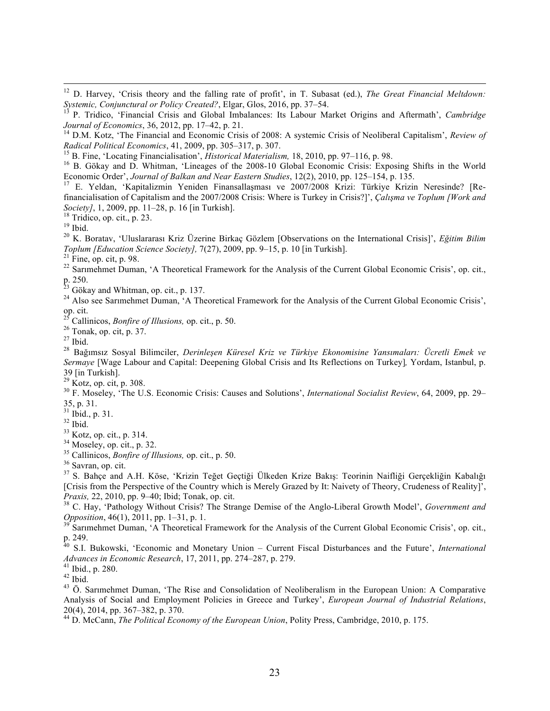<sup>12</sup> D. Harvey, 'Crisis theory and the falling rate of profit', in T. Subasat (ed.), *The Great Financial Meltdown: Systemic, Conjunctural or Policy Created*?, *Elgar, Glos, 2016, pp. 37–54.* 

<sup>13</sup> P. Tridico, 'Financial Crisis and Global Imbalances: Its Labour Market Origins and Aftermath', *Cambridge Journal of Economics*, 36, 2012, pp. 17–42, p. 21.

*Journal of Economics*, 36, 2012, pp. 17–42, p. 21. <sup>14</sup> D.M. Kotz, 'The Financial and Economic Crisis of 2008: A systemic Crisis of Neoliberal Capitalism', *Review of*  Radical Political Economics, 41, 2009, pp. 305–317, p. 307.<br><sup>15</sup> B. Fine, 'Locating Financialisation', *Historical Materialism*, 18, 2010, pp. 97–116, p. 98.<br><sup>16</sup> B. Gökay and D. Whitman, 'Lineages of the 2008-10 Global Ec

Economic Order', *Journal of Balkan and Near Eastern Studies*, 12(2), 2010, pp. 125–154, p. 135.<br><sup>17</sup> E. Yeldan, 'Kapitalizmin Yeniden Finansallaşması ve 2007/2008 Krizi: Türkiye Krizin Neresinde? [Re-

financialisation of Capitalism and the 2007/2008 Crisis: Where is Turkey in Crisis?]', *Çalışma ve Toplum [Work and* 

Society], 1, 2009, pp. 11–28, p. 16 [in Turkish].<br><sup>18</sup> Tridico, op. cit., p. 23.<br><sup>19</sup> Ibid.<br><sup>20</sup> K. Boratav, 'Uluslararası Kriz Üzerine Birkaç Gözlem [Observations on the International Crisis]', *Eğitim Bilim*<br>*Toplum [Ed* 

<sup>21</sup> Fine, op. cit, p. 98.<br><sup>22</sup> Sarimehmet Duman, 'A Theoretical Framework for the Analysis of the Current Global Economic Crisis', op. cit., p. 250.<br><sup>23</sup> Gökay and Whitman, op. cit., p. 137.

<sup>24</sup> Also see Sarımehmet Duman, 'A Theoretical Framework for the Analysis of the Current Global Economic Crisis', op. cit.<br><sup>25</sup> Callinicos, *Bonfire of Illusions*, op. cit., p. 50.

<sup>26</sup> Tonak, op. cit, p. 37.<br><sup>27</sup> Ibid.<br><sup>28</sup> Bağımsız Sosyal Bilimciler, *Derinlesen Küresel Kriz ve Türkiye Ekonomisine Yansımaları: Ücretli Emek ve Sermaye* [Wage Labour and Capital: Deepening Global Crisis and Its Reflections on Turkey]*,* Yordam, Istanbul, p. 39 [in Turkish].<br><sup>29</sup> Kotz, op. cit, p. 308.

<sup>30</sup> F. Moseley, 'The U.S. Economic Crisis: Causes and Solutions', *International Socialist Review*, 64, 2009, pp. 29–  $35$ , p. 31.<br> $^{31}$  Ibid., p. 31.

<sup>32</sup> Ibid.<br><sup>33</sup> Kotz, op. cit., p. 314.<br><sup>34</sup> Moseley, op. cit., p. 32.<br><sup>35</sup> Callinicos, *Bonfire of Illusions*, op. cit., p. 50.<br><sup>36</sup> Savran, op. cit.<br><sup>37</sup> S. Bahce and A.H. Köse. 'Krizin Teğet Gectiği Ülkeden Krize Bakıs: [Crisis from the Perspective of the Country which is Merely Grazed by It: Naivety of Theory, Crudeness of Reality]', *Praxis*, 22, 2010, pp. 9–40; Ibid; Tonak, op. cit.

<sup>38</sup> C. Hay, 'Pathology Without Crisis? The Strange Demise of the Anglo-Liberal Growth Model', *Government and Opposition*, 46(1), 2011, pp. 1–31, p. 1.

<sup>39</sup> Sarımehmet Duman, 'A Theoretical Framework for the Analysis of the Current Global Economic Crisis', op. cit., p. 249.

<sup>40</sup> S.I. Bukowski, 'Economic and Monetary Union – Current Fiscal Disturbances and the Future', *International Advances in Economic Research*, 17, 2011, pp. 274–287, p. 279.<br><sup>41</sup> Ibid., p. 280.<br><sup>42</sup> Ibid.<br><sup>43</sup> Ö. Sarımehmet Duman, 'The Rise and Consolidation of Neoliberalism in the European Union: A Comparative

Analysis of Social and Employment Policies in Greece and Turkey', *European Journal of Industrial Relations*, 20(4), 2014, pp. 367–382, p. 370. <sup>44</sup> D. McCann, *The Political Economy of the European Union*, Polity Press, Cambridge, 2010, p. 175.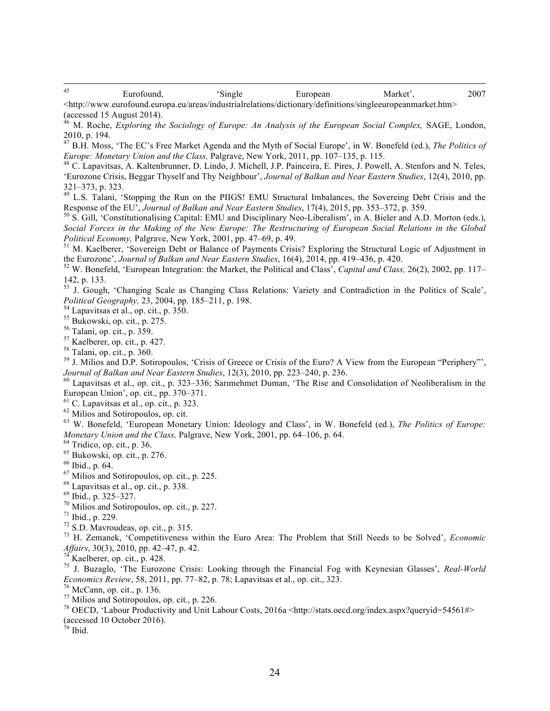45 Eurofound, 'Single European Market', 2007 <http://www.eurofound.europa.eu/areas/industrialrelations/dictionary/definitions/singleeuropeanmarket.htm>

(accessed 15 August 2014).

<sup>46</sup> M. Roche, *Exploring the Sociology of Europe: An Analysis of the European Social Complex,* SAGE, London, 2010, p. 194.

<sup>47</sup> B.H. Moss, 'The EC's Free Market Agenda and the Myth of Social Europe', in W. Bonefeld (ed.), *The Politics of Europe: Monetary Union and the Class*, Palgrave, New York, 2011, pp. 107–135, p. 115.

<sup>48</sup> C. Lapavitsas, A. Kaltenbrunner, D. Lindo, J. Michell, J.P. Painceira, E. Pires, J. Powell, A. Stenfors and N. Teles, 'Eurozone Crisis, Beggar Thyself and Thy Neighbour', *Journal of Balkan and Near Eastern Studies*, 12(4), 2010, pp.

 $321–373$ , p. 323.<br><sup>49</sup> L.S. Talani, 'Stopping the Run on the PIIGS! EMU Structural Imbalances, the Sovereing Debt Crisis and the<br>Response of the EU', *Journal of Balkan and Near Eastern Studies*, 17(4), 2015, pp. 353–372

<sup>50</sup> S. Gill, 'Constitutionalising Capital: EMU and Disciplinary Neo-Liberalism', in A. Bieler and A.D. Morton (eds.), *Social Forces in the Making of the New Europe: The Restructuring of European Social Relations in the Global Political Economy, Palgrave, New York, 2001, pp. 47–69, p. 49.*  $\frac{1}{2}$  *M. Kaelberer, 'Sovereign Debt or Balance of Payments Crisis? Exploring the Structural Logic of Adjustment in* 

the Eurozone', *Journal of Balkan and Near Eastern Studies*, 16(4), 2014, pp. 419–436, p. 420.<br><sup>52</sup> W. Bonefeld, 'European Integration: the Market, the Political and Class', *Capital and Class,* 26(2), 2002, pp. 117–

142, p. 133.

53 J. Gough, 'Changing Scale as Changing Class Relations: Variety and Contradiction in the Politics of Scale', Political Geography, 23, 2004, pp. 185–211, p. 198.<br>
<sup>54</sup> Lapavitsas et al., op. cit., p. 350.<br>
<sup>55</sup> Bukowski, op. cit., p. 275.<br>
<sup>56</sup> Talani, op. cit., p. 359.<br>
<sup>57</sup> Kaelberer, op. cit., p. 427.<br>
<sup>58</sup> Talani, op. cit., p

- 
- 

*Journal of Balkan and Near Eastern Studies*, 12(3), 2010, pp. 223–240, p. 236.<br><sup>60</sup> Lapavitsas et al., op. cit., p. 323–336; Sarimehmet Duman, 'The Rise and Consolidation of Neoliberalism in the European Union', op. cit.,

<sup>61</sup> C. Lapavitsas et al., op. cit., p. 323.<br><sup>62</sup> Milios and Sotiropoulos, op. cit.<br><sup>63</sup> W. Bonefeld, 'European Monetary Union: Ideology and Class', in W. Bonefeld (ed.), *The Politics of Europe:*<br>*Monetary Union and the* 

- 
- 
- 

<sup>64</sup> Tridico, op. cit., p. 36.<br>
<sup>65</sup> Bukowski, op. cit., p. 276.<br>
<sup>66</sup> Ibid., p. 64.<br>
<sup>67</sup> Milios and Sotiropoulos, op. cit., p. 225.<br>
<sup>68</sup> Lapavitsas et al., op. cit., p. 338.<br>
<sup>69</sup> Ibid., p. 325–327.<br>
<sup>70</sup> Milios and So

<sup>74</sup> Kaelberer, op. cit., p. 428.<br><sup>75</sup> J. Buzaglo, 'The Eurozone Crisis: Looking through the Financial Fog with Keynesian Glasses', *Real-World Economics Review*, 58, 2011, pp. 77–82, p. 78; Lapavitsas et al., op. cit., 323.<br><sup>76</sup> McCann, op. cit., p. 136.<br><sup>77</sup> Milios and Sotiropoulos, op. cit., p. 226.<br><sup>78</sup> OECD, 'Labour Productivity and Unit Labour Costs, 2016a

(accessed 10 October 2016).

 $79$  Ibid.